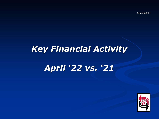*Transmittal 1*

# *Key Financial Activity*

# *April '22 vs. '21*

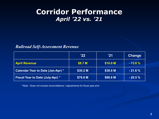## **Corridor Performance** *April '22 vs. '21*

### *Railroad Self-Assessment Revenue*

|                                          | '22'     | '21      | <b>Change</b> |
|------------------------------------------|----------|----------|---------------|
| <b>April Revenue</b>                     | \$8.7 M  | \$10.0 M | $-13.8%$      |
| <b>Calendar Year to Date (Jan-Apr) *</b> | \$30.2 M | \$38.6 M | $-21.6%$      |
| <b>Fiscal Year to Date (July-Apr) *</b>  | \$76.8 M | \$96.6 M | $-20.5%$      |

\* Note: Does not include reconciliations / adjustments for fiscal year-end.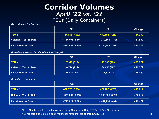### **Corridor Volumes** *April '22 vs. '21* TEUs (Daily Containers)

### *Operations – On Corridor*

|                              | 22'               | <b>Change</b>     |            |
|------------------------------|-------------------|-------------------|------------|
| TEU's *                      | 384,648 (7,032)   | 452,194 (8,267)   | $-14.9%$   |
| <b>Calendar Year to Date</b> | 1,344,491 (6,145) | 1,712,650 (7,828) | $-21.5%$   |
| <b>Fiscal Year to Date</b>   | 3,577,938(6,455)  | 4,224,382 (7,621) | $-15.3 \%$ |

*Operations – Around Corridor (Container Charges)*

|                              | '22           | '21           | <b>Change</b> |
|------------------------------|---------------|---------------|---------------|
| TEU's *                      | 17,922 (328)  | 25,593 (468)  | $-30.0%$      |
| <b>Calendar Year to Date</b> | 46,716 (214)  | 86,955 (397)  | $-46.3%$      |
| <b>Fiscal Year to Date</b>   | 135,084 (244) | 217,876 (393) | $-38.0%$      |

#### *Operations – Combined*

|                              | '22               | <b>Change</b>     |           |
|------------------------------|-------------------|-------------------|-----------|
| TEU's *                      | 402,570 (7,360)   | 477,787 (8,735)   | $-15.7%$  |
| <b>Calendar Year to Date</b> | 1,391,207 (6,358) | 1,799,605 (8,225) | $-22.7%$  |
| <b>Fiscal Year to Date</b>   | 3,713,022 (6,699) | 4,442,258 (8,014) | $-16.4\%$ |

Note: Numbers in ( ) are the Average Daily Containers, Daily TEU's  $\div$  1.82 = Containers

\* Containers trucked to off-dock intermodal yards that are charged ACTA fee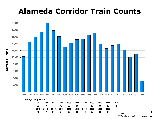# **Alameda Corridor Train Counts**



**Number of Trains**

| 2002 | 2003 | 2004  | 2005                                 | 2006 | <u> 2007 </u> | 2008 | 2009 | 2010 | 2011 | 2012    |
|------|------|-------|--------------------------------------|------|---------------|------|------|------|------|---------|
| 39   | -40  | 44 47 |                                      | 55   | 49            | 44   | - 36 | -39  | 42   | 42      |
| 2013 |      |       | <u>2014 2015 2016 2017 2018 2019</u> |      |               |      | 2020 | 2021 | 2022 |         |
| 45   | 47   | - 38  | 34 37                                |      | - 38          | - 33 | -28  | 30   |      | $\star$ |

CY<sub>D</sub> \*\* Corridor Capacity 150 Trains per Day **4**